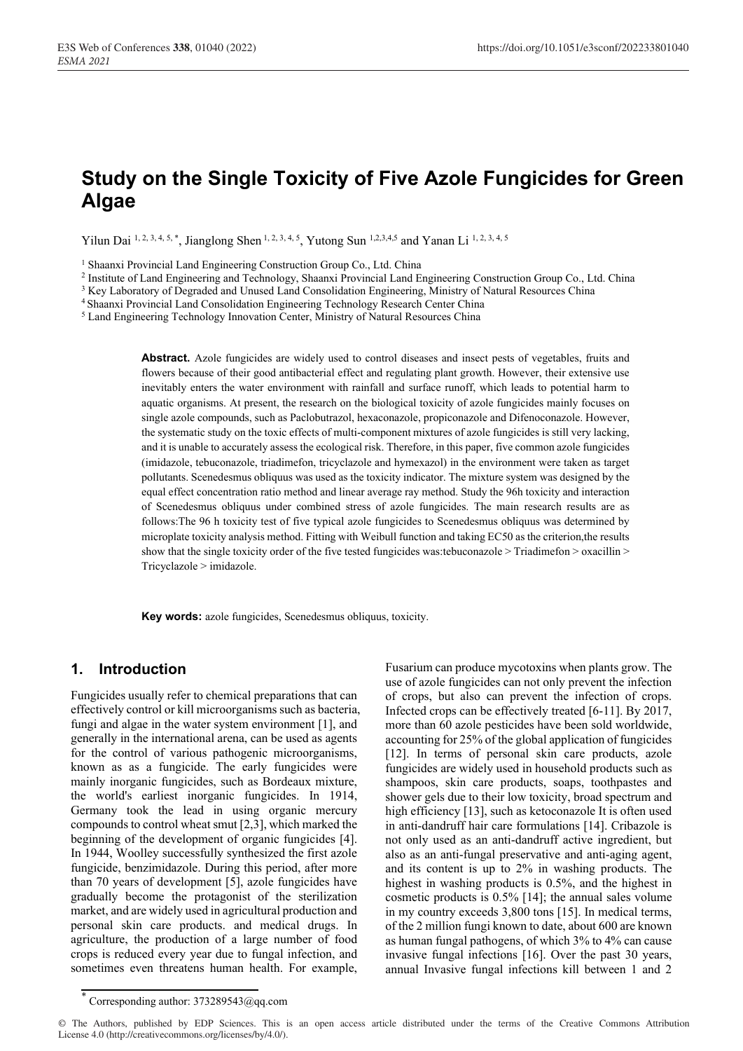# **Study on the Single Toxicity of Five Azole Fungicides for Green Algae**

Yilun Dai 1, 2, 3, 4, 5, \*, Jianglong Shen 1, 2, 3, 4, 5, Yutong Sun 1, 2, 3, 4, 5 and Yanan Li 1, 2, 3, 4, 5

<sup>1</sup> Shaanxi Provincial Land Engineering Construction Group Co., Ltd. China<br>
<sup>2</sup> Institute of Land Engineering and Technology, Shaanxi Provincial Land Engineering Construction Group Co., Ltd. China<br>
<sup>3</sup> Key Laboratory of D

**Abstract.** Azole fungicides are widely used to control diseases and insect pests of vegetables, fruits and flowers because of their good antibacterial effect and regulating plant growth. However, their extensive use inevitably enters the water environment with rainfall and surface runoff, which leads to potential harm to aquatic organisms. At present, the research on the biological toxicity of azole fungicides mainly focuses on single azole compounds, such as Paclobutrazol, hexaconazole, propiconazole and Difenoconazole. However, the systematic study on the toxic effects of multi-component mixtures of azole fungicides is still very lacking, and it is unable to accurately assess the ecological risk. Therefore, in this paper, five common azole fungicides (imidazole, tebuconazole, triadimefon, tricyclazole and hymexazol) in the environment were taken as target pollutants. Scenedesmus obliquus was used as the toxicity indicator. The mixture system was designed by the equal effect concentration ratio method and linear average ray method. Study the 96h toxicity and interaction of Scenedesmus obliquus under combined stress of azole fungicides. The main research results are as follows:The 96 h toxicity test of five typical azole fungicides to Scenedesmus obliquus was determined by microplate toxicity analysis method. Fitting with Weibull function and taking EC50 as the criterion,the results show that the single toxicity order of the five tested fungicides was:tebuconazole > Triadimefon > oxacillin > Tricyclazole > imidazole.

**Key words:** azole fungicides, Scenedesmus obliquus, toxicity.

# **1. Introduction**

Fungicides usually refer to chemical preparations that can effectively control or kill microorganisms such as bacteria, fungi and algae in the water system environment [1], and generally in the international arena, can be used as agents for the control of various pathogenic microorganisms, known as as a fungicide. The early fungicides were mainly inorganic fungicides, such as Bordeaux mixture, the world's earliest inorganic fungicides. In 1914, Germany took the lead in using organic mercury compounds to control wheat smut [2,3], which marked the beginning of the development of organic fungicides [4]. In 1944, Woolley successfully synthesized the first azole fungicide, benzimidazole. During this period, after more than 70 years of development [5], azole fungicides have gradually become the protagonist of the sterilization market, and are widely used in agricultural production and personal skin care products. and medical drugs. In agriculture, the production of a large number of food crops is reduced every year due to fungal infection, and sometimes even threatens human health. For example,

Fusarium can produce mycotoxins when plants grow. The use of azole fungicides can not only prevent the infection of crops, but also can prevent the infection of crops. Infected crops can be effectively treated [6-11]. By 2017, more than 60 azole pesticides have been sold worldwide, accounting for 25% of the global application of fungicides [12]. In terms of personal skin care products, azole fungicides are widely used in household products such as shampoos, skin care products, soaps, toothpastes and shower gels due to their low toxicity, broad spectrum and high efficiency [13], such as ketoconazole It is often used in anti-dandruff hair care formulations [14]. Cribazole is not only used as an anti-dandruff active ingredient, but also as an anti-fungal preservative and anti-aging agent, and its content is up to 2% in washing products. The highest in washing products is 0.5%, and the highest in cosmetic products is 0.5% [14]; the annual sales volume in my country exceeds 3,800 tons [15]. In medical terms, of the 2 million fungi known to date, about 600 are known as human fungal pathogens, of which 3% to 4% can cause invasive fungal infections [16]. Over the past 30 years, annual Invasive fungal infections kill between 1 and 2

<sup>\*</sup> Corresponding author: 373289543@qq.com

<sup>©</sup> The Authors, published by EDP Sciences. This is an open access article distributed under the terms of the Creative Commons Attribution License 4.0 (http://creativecommons.org/licenses/by/4.0/).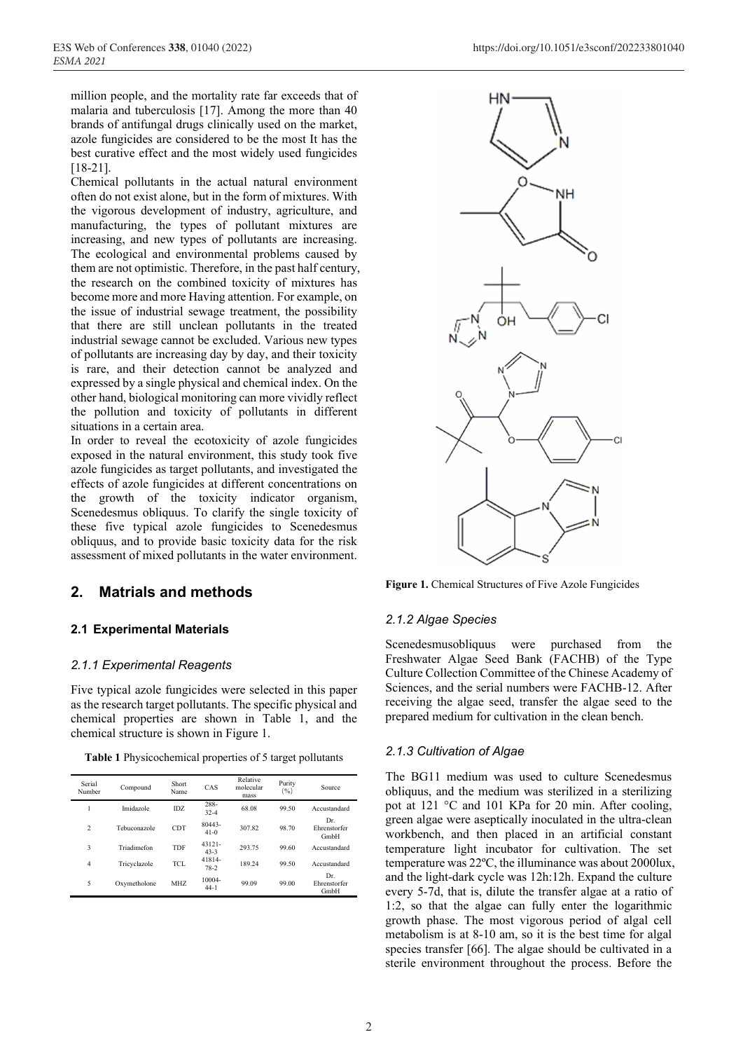million people, and the mortality rate far exceeds that of malaria and tuberculosis [17]. Among the more than 40 brands of antifungal drugs clinically used on the market, azole fungicides are considered to be the most It has the best curative effect and the most widely used fungicides [18-21].

Chemical pollutants in the actual natural environment often do not exist alone, but in the form of mixtures. With the vigorous development of industry, agriculture, and manufacturing, the types of pollutant mixtures are increasing, and new types of pollutants are increasing. The ecological and environmental problems caused by them are not optimistic. Therefore, in the past half century, the research on the combined toxicity of mixtures has become more and more Having attention. For example, on the issue of industrial sewage treatment, the possibility that there are still unclean pollutants in the treated industrial sewage cannot be excluded. Various new types of pollutants are increasing day by day, and their toxicity is rare, and their detection cannot be analyzed and expressed by a single physical and chemical index. On the other hand, biological monitoring can more vividly reflect the pollution and toxicity of pollutants in different situations in a certain area.

In order to reveal the ecotoxicity of azole fungicides exposed in the natural environment, this study took five azole fungicides as target pollutants, and investigated the effects of azole fungicides at different concentrations on the growth of the toxicity indicator organism, Scenedesmus obliquus. To clarify the single toxicity of these five typical azole fungicides to Scenedesmus obliquus, and to provide basic toxicity data for the risk assessment of mixed pollutants in the water environment.

# **2. Matrials and methods**

# **2.1 Experimental Materials**

# *2.1.1 Experimental Reagents*

Five typical azole fungicides were selected in this paper as the research target pollutants. The specific physical and chemical properties are shown in Table 1, and the chemical structure is shown in Figure 1.

**Table 1** Physicochemical properties of 5 target pollutants

| Serial<br>Number | Compound     | Short<br>Name | CAS              | Relative<br>molecular<br>mass | Purity<br>(9/0) | Source                      |
|------------------|--------------|---------------|------------------|-------------------------------|-----------------|-----------------------------|
|                  | Imidazole    | IDZ.          | 288-<br>$32 - 4$ | 68.08                         | 99.50           | Accustandard                |
| $\overline{2}$   | Tebuconazole | <b>CDT</b>    | 80443-<br>$41-0$ | 307.82                        | 98.70           | Dr.<br>Ehrenstorfer<br>GmbH |
| 3                | Triadimefon  | TDF           | 43121-<br>$43-3$ | 293.75                        | 99.60           | Accustandard                |
| $\overline{4}$   | Tricyclazole | <b>TCL</b>    | 41814-<br>78-2   | 189.24                        | 99.50           | Accustandard                |
| 5                | Oxymetholone | MHZ           | 10004-<br>$44-1$ | 99.09                         | 99.00           | Dr.<br>Ehrenstorfer<br>GmbH |



**Figure 1.** Chemical Structures of Five Azole Fungicides

# *2.1.2 Algae Species*

Scenedesmusobliquus were purchased from the Freshwater Algae Seed Bank (FACHB) of the Type Culture Collection Committee of the Chinese Academy of Sciences, and the serial numbers were FACHB-12. After receiving the algae seed, transfer the algae seed to the prepared medium for cultivation in the clean bench.

# *2.1.3 Cultivation of Algae*

The BG11 medium was used to culture Scenedesmus obliquus, and the medium was sterilized in a sterilizing pot at 121 °C and 101 KPa for 20 min. After cooling, green algae were aseptically inoculated in the ultra-clean workbench, and then placed in an artificial constant temperature light incubator for cultivation. The set temperature was 22ºC, the illuminance was about 2000lux, and the light-dark cycle was 12h:12h. Expand the culture every 5-7d, that is, dilute the transfer algae at a ratio of 1:2, so that the algae can fully enter the logarithmic growth phase. The most vigorous period of algal cell metabolism is at 8-10 am, so it is the best time for algal species transfer [66]. The algae should be cultivated in a sterile environment throughout the process. Before the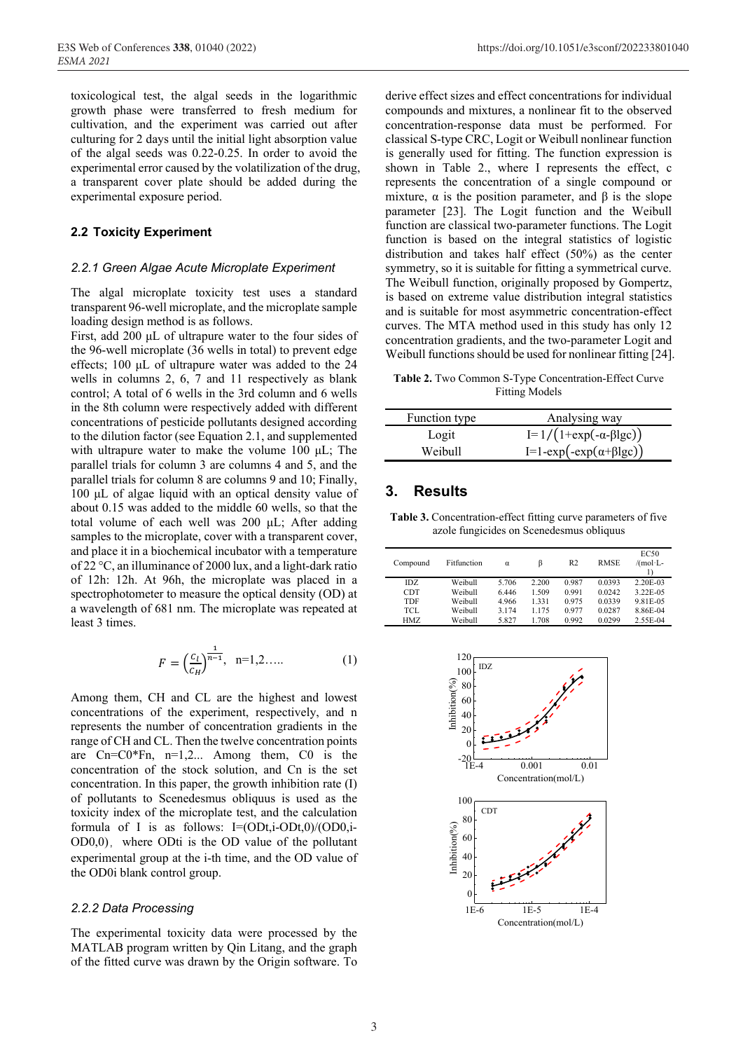toxicological test, the algal seeds in the logarithmic growth phase were transferred to fresh medium for cultivation, and the experiment was carried out after culturing for 2 days until the initial light absorption value of the algal seeds was 0.22-0.25. In order to avoid the experimental error caused by the volatilization of the drug, a transparent cover plate should be added during the experimental exposure period.

### **2.2 Toxicity Experiment**

#### *2.2.1 Green Algae Acute Microplate Experiment*

The algal microplate toxicity test uses a standard transparent 96-well microplate, and the microplate sample loading design method is as follows.

First, add 200 μL of ultrapure water to the four sides of the 96-well microplate (36 wells in total) to prevent edge effects; 100 μL of ultrapure water was added to the 24 wells in columns 2, 6, 7 and 11 respectively as blank control; A total of 6 wells in the 3rd column and 6 wells in the 8th column were respectively added with different concentrations of pesticide pollutants designed according to the dilution factor (see Equation 2.1, and supplemented with ultrapure water to make the volume 100 μL; The parallel trials for column 3 are columns 4 and 5, and the parallel trials for column 8 are columns 9 and 10; Finally, 100 μL of algae liquid with an optical density value of about 0.15 was added to the middle 60 wells, so that the total volume of each well was 200 μL; After adding samples to the microplate, cover with a transparent cover, and place it in a biochemical incubator with a temperature of 22 °C, an illuminance of 2000 lux, and a light-dark ratio of 12h: 12h. At 96h, the microplate was placed in a spectrophotometer to measure the optical density (OD) at a wavelength of 681 nm. The microplate was repeated at least 3 times.

$$
F = \left(\frac{c_l}{c_H}\right)^{\frac{1}{n-1}}, \quad n=1,2,\dots \tag{1}
$$

Among them, CH and CL are the highest and lowest concentrations of the experiment, respectively, and n represents the number of concentration gradients in the range of CH and CL. Then the twelve concentration points are Cn=C0\*Fn, n=1,2... Among them, C0 is the concentration of the stock solution, and Cn is the set concentration. In this paper, the growth inhibition rate (I) of pollutants to Scenedesmus obliquus is used as the toxicity index of the microplate test, and the calculation formula of I is as follows:  $I=(ODt,i-ODt,0)/(OD0,i OD0,0$ , where ODti is the OD value of the pollutant experimental group at the i-th time, and the OD value of the OD0i blank control group.

#### *2.2.2 Data Processing*

The experimental toxicity data were processed by the MATLAB program written by Qin Litang, and the graph of the fitted curve was drawn by the Origin software. To derive effect sizes and effect concentrations for individual compounds and mixtures, a nonlinear fit to the observed concentration-response data must be performed. For classical S-type CRC, Logit or Weibull nonlinear function is generally used for fitting. The function expression is shown in Table 2., where I represents the effect, c represents the concentration of a single compound or mixture,  $\alpha$  is the position parameter, and  $\beta$  is the slope parameter [23]. The Logit function and the Weibull function are classical two-parameter functions. The Logit function is based on the integral statistics of logistic distribution and takes half effect (50%) as the center symmetry, so it is suitable for fitting a symmetrical curve. The Weibull function, originally proposed by Gompertz, is based on extreme value distribution integral statistics and is suitable for most asymmetric concentration-effect curves. The MTA method used in this study has only 12 concentration gradients, and the two-parameter Logit and Weibull functions should be used for nonlinear fitting [24].

**Table 2.** Two Common S-Type Concentration-Effect Curve Fitting Models

| Function type | Analysing way                          |
|---------------|----------------------------------------|
| Logit         | $I=1/(1+exp(-\alpha-\beta lgc))$       |
| Weibull       | I=1-exp(-exp( $\alpha$ + $\beta$ lgc)) |

# **3. Results**

**Table 3.** Concentration-effect fitting curve parameters of five azole fungicides on Scenedesmus obliquus

| Compound   | Fitfunction | α     | ß     | R <sub>2</sub> | <b>RMSE</b> | <b>EC50</b><br>/(mol·L- |
|------------|-------------|-------|-------|----------------|-------------|-------------------------|
| IDZ.       | Weibull     | 5.706 | 2.200 | 0.987          | 0.0393      | 2.20E-03                |
| <b>CDT</b> | Weibull     | 6.446 | 1.509 | 0.991          | 0.0242      | 3.22E-05                |
| TDF        | Weibull     | 4.966 | 1.331 | 0.975          | 0.0339      | 9.81E-05                |
| TCL.       | Weibull     | 3.174 | 1.175 | 0.977          | 0.0287      | 8.86E-04                |
| HMZ.       | Weibull     | 5.827 | 1.708 | 0.992          | 0.0299      | 2.55E-04                |

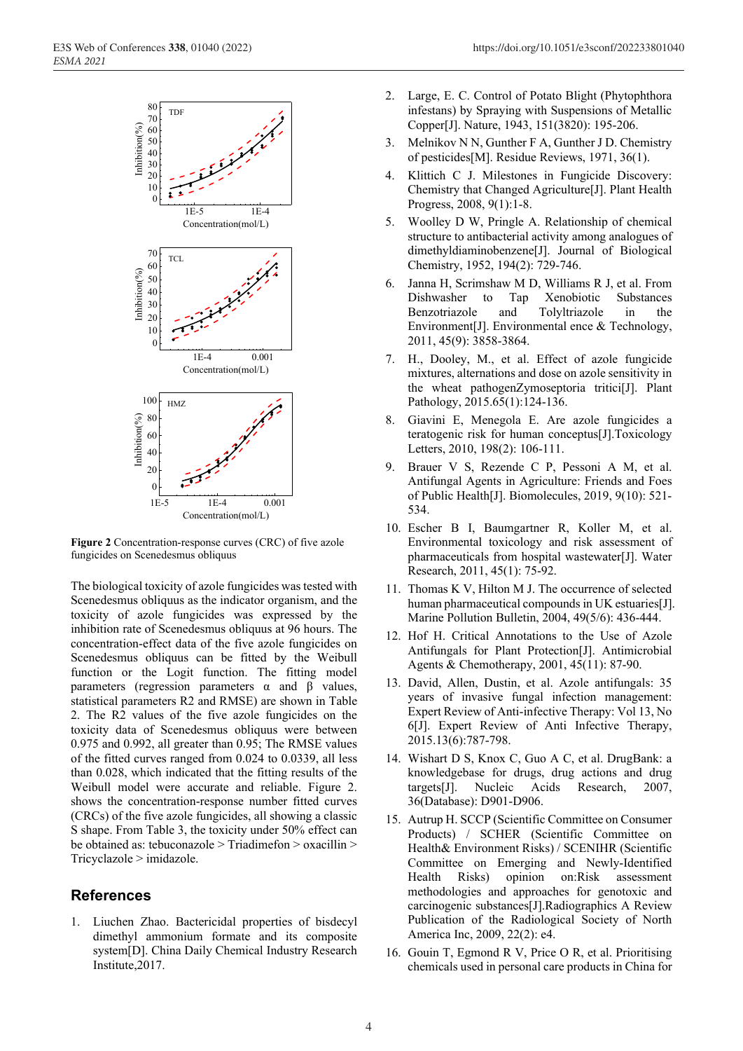

**Figure 2** Concentration-response curves (CRC) of five azole fungicides on Scenedesmus obliquus

The biological toxicity of azole fungicides was tested with Scenedesmus obliquus as the indicator organism, and the toxicity of azole fungicides was expressed by the inhibition rate of Scenedesmus obliquus at 96 hours. The concentration-effect data of the five azole fungicides on Scenedesmus obliquus can be fitted by the Weibull function or the Logit function. The fitting model parameters (regression parameters α and β values, statistical parameters R2 and RMSE) are shown in Table 2. The R2 values of the five azole fungicides on the toxicity data of Scenedesmus obliquus were between 0.975 and 0.992, all greater than 0.95; The RMSE values of the fitted curves ranged from 0.024 to 0.0339, all less than 0.028, which indicated that the fitting results of the Weibull model were accurate and reliable. Figure 2. shows the concentration-response number fitted curves (CRCs) of the five azole fungicides, all showing a classic S shape. From Table 3, the toxicity under 50% effect can be obtained as: tebuconazole > Triadimefon > oxacillin > Tricyclazole > imidazole.

# **References**

1. Liuchen Zhao. Bactericidal properties of bisdecyl dimethyl ammonium formate and its composite system[D]. China Daily Chemical Industry Research Institute,2017.

- 2. Large, E. C. Control of Potato Blight (Phytophthora infestans) by Spraying with Suspensions of Metallic Copper[J]. Nature, 1943, 151(3820): 195-206.
- 3. Melnikov N N, Gunther F A, Gunther J D. Chemistry of pesticides[M]. Residue Reviews, 1971, 36(1).
- 4. Klittich C J. Milestones in Fungicide Discovery: Chemistry that Changed Agriculture[J]. Plant Health Progress, 2008, 9(1):1-8.
- 5. Woolley D W, Pringle A. Relationship of chemical structure to antibacterial activity among analogues of dimethyldiaminobenzene[J]. Journal of Biological Chemistry, 1952, 194(2): 729-746.
- 6. Janna H, Scrimshaw M D, Williams R J, et al. From Dishwasher to Tap Xenobiotic Substances Benzotriazole and Tolyltriazole in the Environment[J]. Environmental ence & Technology, 2011, 45(9): 3858-3864.
- 7. H., Dooley, M., et al. Effect of azole fungicide mixtures, alternations and dose on azole sensitivity in the wheat pathogenZymoseptoria tritici[J]. Plant Pathology, 2015.65(1):124-136.
- 8. Giavini E, Menegola E. Are azole fungicides a teratogenic risk for human conceptus[J].Toxicology Letters, 2010, 198(2): 106-111.
- 9. Brauer V S, Rezende C P, Pessoni A M, et al. Antifungal Agents in Agriculture: Friends and Foes of Public Health[J]. Biomolecules, 2019, 9(10): 521- 534.
- 10. Escher B I, Baumgartner R, Koller M, et al. Environmental toxicology and risk assessment of pharmaceuticals from hospital wastewater[J]. Water Research, 2011, 45(1): 75-92.
- 11. Thomas K V, Hilton M J. The occurrence of selected human pharmaceutical compounds in UK estuaries[J]. Marine Pollution Bulletin, 2004, 49(5/6): 436-444.
- 12. Hof H. Critical Annotations to the Use of Azole Antifungals for Plant Protection[J]. Antimicrobial Agents & Chemotherapy, 2001, 45(11): 87-90.
- 13. David, Allen, Dustin, et al. Azole antifungals: 35 years of invasive fungal infection management: Expert Review of Anti-infective Therapy: Vol 13, No 6[J]. Expert Review of Anti Infective Therapy, 2015.13(6):787-798.
- 14. Wishart D S, Knox C, Guo A C, et al. DrugBank: a knowledgebase for drugs, drug actions and drug targets[J]. Nucleic Acids Research, 2007, 36(Database): D901-D906.
- 15. Autrup H. SCCP (Scientific Committee on Consumer Products) / SCHER (Scientific Committee on Health& Environment Risks) / SCENIHR (Scientific Committee on Emerging and Newly-Identified Health Risks) opinion on:Risk assessment methodologies and approaches for genotoxic and carcinogenic substances[J].Radiographics A Review Publication of the Radiological Society of North America Inc, 2009, 22(2): e4.
- 16. Gouin T, Egmond R V, Price O R, et al. Prioritising chemicals used in personal care products in China for